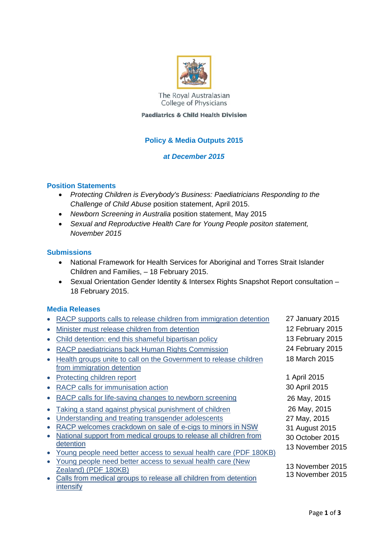

The Royal Australasian College of Physicians

#### **Paediatrics & Child Health Division**

# **Policy & Media Outputs 2015**

## *at December 2015*

#### **Position Statements**

- *Protecting Children is Everybody's Business: Paediatricians Responding to the Challenge of Child Abuse* position statement, April 2015.
- *Newborn Screening in Australia* position statement, May 2015
- *Sexual and Reproductive Health Care for Young People positon statement, November 2015*

#### **Submissions**

- National Framework for Health Services for Aboriginal and Torres Strait Islander Children and Families, – 18 February 2015.
- Sexual Orientation Gender Identity & Intersex Rights Snapshot Report consultation 18 February 2015.

#### **Media Releases**

|           | RACP supports calls to release children from immigration detention | 27 January 2015  |
|-----------|--------------------------------------------------------------------|------------------|
|           | Minister must release children from detention                      | 12 February 2015 |
|           | Child detention: end this shameful bipartisan policy               | 13 February 2015 |
|           | RACP paediatricians back Human Rights Commission                   | 24 February 2015 |
|           | Health groups unite to call on the Government to release children  | 18 March 2015    |
|           | from immigration detention                                         |                  |
| $\bullet$ | <b>Protecting children report</b>                                  | 1 April 2015     |
|           | RACP calls for immunisation action                                 | 30 April 2015    |
|           | RACP calls for life-saving changes to newborn screening            | 26 May, 2015     |
|           | Taking a stand against physical punishment of children             | 26 May, 2015     |
|           | Understanding and treating transgender adolescents                 | 27 May, 2015     |
|           | RACP welcomes crackdown on sale of e-cigs to minors in NSW         | 31 August 2015   |
|           | National support from medical groups to release all children from  | 30 October 2015  |
|           | detention                                                          | 13 November 2015 |
|           | Young people need better access to sexual health care (PDF 180KB)  |                  |
|           | Young people need better access to sexual health care (New         | 13 November 2015 |
|           | Zealand) (PDF 180KB)                                               | 13 November 2015 |
|           | Calls from medical groups to release all children from detention   |                  |
|           | intensify                                                          |                  |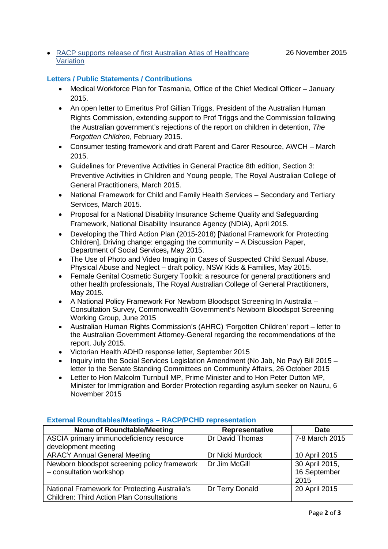#### • [RACP supports release of first Australian Atlas of Healthcare](http://www.racp.edu.au/docs/default-source/default-document-library/151126-media-release---racp-supports-release-of-first-australian-atlas-of-healthcare-variation5bec51afbbb261c2b08bff00001c3177.pdf?sfvrsn=0)  [Variation](http://www.racp.edu.au/docs/default-source/default-document-library/151126-media-release---racp-supports-release-of-first-australian-atlas-of-healthcare-variation5bec51afbbb261c2b08bff00001c3177.pdf?sfvrsn=0)

## **Letters / Public Statements / Contributions**

- Medical Workforce Plan for Tasmania, Office of the Chief Medical Officer January 2015.
- An open letter to Emeritus Prof Gillian Triggs, President of the Australian Human Rights Commission, extending support to Prof Triggs and the Commission following the Australian government's rejections of the report on children in detention, *The Forgotten Children*, February 2015.
- Consumer testing framework and draft Parent and Carer Resource, AWCH March 2015.
- Guidelines for Preventive Activities in General Practice 8th edition, Section 3: Preventive Activities in Children and Young people, The Royal Australian College of General Practitioners, March 2015.
- National Framework for Child and Family Health Services Secondary and Tertiary Services, March 2015.
- Proposal for a National Disability Insurance Scheme Quality and Safeguarding Framework, National Disability Insurance Agency (NDIA), April 2015.
- Developing the Third Action Plan (2015-2018) [National Framework for Protecting Children], Driving change: engaging the community – A Discussion Paper, Department of Social Services**,** May 2015.
- The Use of Photo and Video Imaging in Cases of Suspected Child Sexual Abuse, Physical Abuse and Neglect – draft policy, NSW Kids & Families, May 2015.
- Female Genital Cosmetic Surgery Toolkit: a resource for general practitioners and other health professionals, The Royal Australian College of General Practitioners, May 2015.
- A National Policy Framework For Newborn Bloodspot Screening In Australia Consultation Survey, Commonwealth Government's Newborn Bloodspot Screening Working Group, June 2015
- Australian Human Rights Commission's (AHRC) 'Forgotten Children' report letter to the Australian Government Attorney-General regarding the recommendations of the report, July 2015.
- Victorian Health ADHD response letter, September 2015
- Inquiry into the Social Services Legislation Amendment (No Jab, No Pay) Bill 2015 letter to the Senate Standing Committees on Community Affairs, 26 October 2015
- Letter to Hon Malcolm Turnbull MP, Prime Minister and to Hon Peter Dutton MP, Minister for Immigration and Border Protection regarding asylum seeker on Nauru, 6 November 2015

| <b>Name of Roundtable/Meeting</b>                                                                 | Representative   | <b>Date</b>                            |  |  |
|---------------------------------------------------------------------------------------------------|------------------|----------------------------------------|--|--|
| ASCIA primary immunodeficiency resource                                                           | Dr David Thomas  | 7-8 March 2015                         |  |  |
| development meeting                                                                               |                  |                                        |  |  |
| <b>ARACY Annual General Meeting</b>                                                               | Dr Nicki Murdock | 10 April 2015                          |  |  |
| Newborn bloodspot screening policy framework<br>- consultation workshop                           | Dr Jim McGill    | 30 April 2015,<br>16 September<br>2015 |  |  |
| National Framework for Protecting Australia's<br><b>Children: Third Action Plan Consultations</b> | Dr Terry Donald  | 20 April 2015                          |  |  |

#### **External Roundtables/Meetings – RACP/PCHD representation**